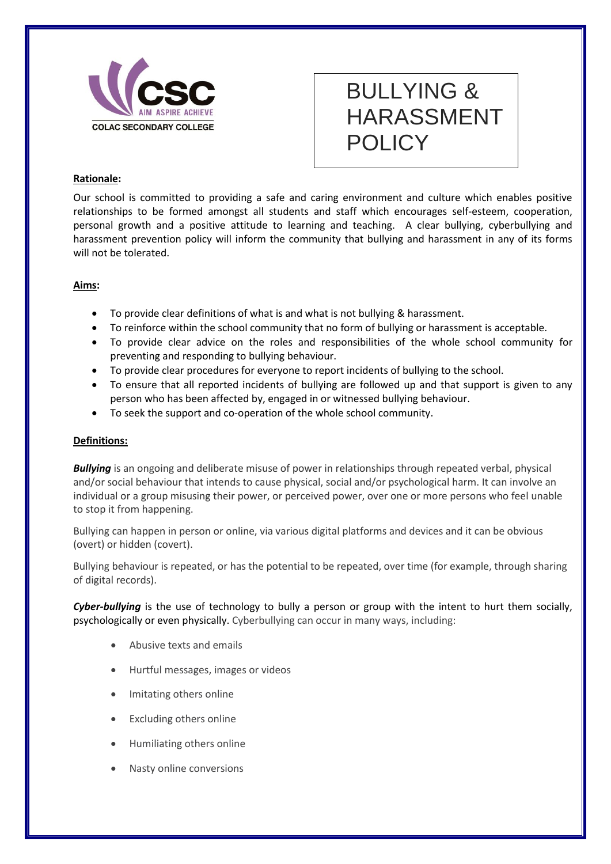

# BULLYING & HARASSMENT POLICY

## **Rationale:**

Our school is committed to providing a safe and caring environment and culture which enables positive relationships to be formed amongst all students and staff which encourages self-esteem, cooperation, personal growth and a positive attitude to learning and teaching. A clear bullying, cyberbullying and harassment prevention policy will inform the community that bullying and harassment in any of its forms will not be tolerated.

### **Aims:**

- To provide clear definitions of what is and what is not bullying & harassment.
- To reinforce within the school community that no form of bullying or harassment is acceptable.
- To provide clear advice on the roles and responsibilities of the whole school community for preventing and responding to bullying behaviour.
- To provide clear procedures for everyone to report incidents of bullying to the school.
- To ensure that all reported incidents of bullying are followed up and that support is given to any person who has been affected by, engaged in or witnessed bullying behaviour.
- To seek the support and co-operation of the whole school community.

### **Definitions:**

**Bullying** is an ongoing and deliberate misuse of power in relationships through repeated verbal, physical and/or social behaviour that intends to cause physical, social and/or psychological harm. It can involve an individual or a group misusing their power, or perceived power, over one or more persons who feel unable to stop it from happening.

Bullying can happen in person or online, via various digital platforms and devices and it can be obvious (overt) or hidden (covert).

Bullying behaviour is repeated, or has the potential to be repeated, over time (for example, through sharing of digital records).

*Cyber-bullying* is the use of technology to bully a person or group with the intent to hurt them socially, psychologically or even physically. Cyberbullying can occur in many ways, including:

- Abusive texts and emails
- Hurtful messages, images or videos
- Imitating others online
- Excluding others online
- Humiliating others online
- Nasty online conversions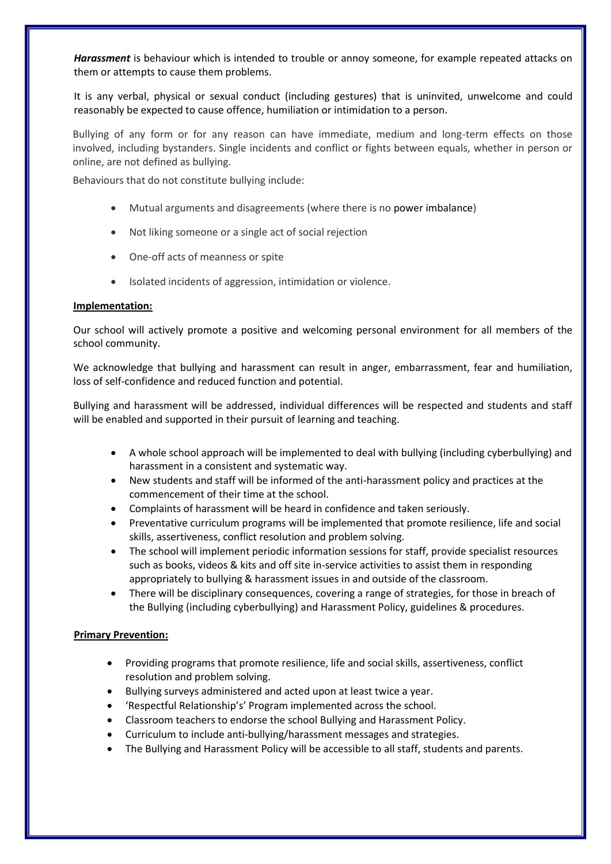*Harassment* is behaviour which is intended to trouble or annoy someone, for example repeated attacks on them or attempts to cause them problems.

It is any verbal, physical or sexual conduct (including gestures) that is uninvited, unwelcome and could reasonably be expected to cause offence, humiliation or intimidation to a person.

Bullying of any form or for any reason can have immediate, medium and long-term effects on those involved, including bystanders. Single incidents and conflict or fights between equals, whether in person or online, are not defined as bullying.

Behaviours that do not constitute bullying include:

- Mutual arguments and disagreements (where there is no [power imbalance\)](https://bullyingnoway.gov.au/WhatIsBullying/DefinitionOfBullying/Pages/Glossary.aspx#P)
- Not liking someone or a single act of social rejection
- One-off acts of meanness or spite
- Isolated incidents of aggression, intimidation or violence.

#### **Implementation:**

Our school will actively promote a positive and welcoming personal environment for all members of the school community.

We acknowledge that bullying and harassment can result in anger, embarrassment, fear and humiliation, loss of self-confidence and reduced function and potential.

Bullying and harassment will be addressed, individual differences will be respected and students and staff will be enabled and supported in their pursuit of learning and teaching.

- A whole school approach will be implemented to deal with bullying (including cyberbullying) and harassment in a consistent and systematic way.
- New students and staff will be informed of the anti-harassment policy and practices at the commencement of their time at the school.
- Complaints of harassment will be heard in confidence and taken seriously.
- Preventative curriculum programs will be implemented that promote resilience, life and social skills, assertiveness, conflict resolution and problem solving.
- The school will implement periodic information sessions for staff, provide specialist resources such as books, videos & kits and off site in-service activities to assist them in responding appropriately to bullying & harassment issues in and outside of the classroom.
- There will be disciplinary consequences, covering a range of strategies, for those in breach of the Bullying (including cyberbullying) and Harassment Policy, guidelines & procedures.

### **Primary Prevention:**

- Providing programs that promote resilience, life and social skills, assertiveness, conflict resolution and problem solving.
- Bullying surveys administered and acted upon at least twice a year.
- 'Respectful Relationship's' Program implemented across the school.
- Classroom teachers to endorse the school Bullying and Harassment Policy.
- Curriculum to include anti-bullying/harassment messages and strategies.
- The Bullying and Harassment Policy will be accessible to all staff, students and parents.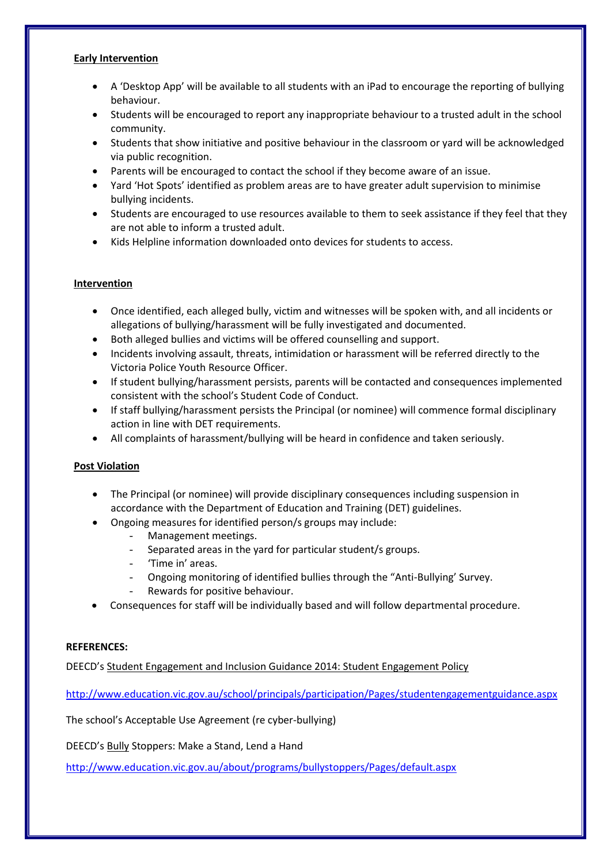### **Early Intervention**

- A 'Desktop App' will be available to all students with an iPad to encourage the reporting of bullying behaviour.
- Students will be encouraged to report any inappropriate behaviour to a trusted adult in the school community.
- Students that show initiative and positive behaviour in the classroom or yard will be acknowledged via public recognition.
- Parents will be encouraged to contact the school if they become aware of an issue.
- Yard 'Hot Spots' identified as problem areas are to have greater adult supervision to minimise bullying incidents.
- Students are encouraged to use resources available to them to seek assistance if they feel that they are not able to inform a trusted adult.
- Kids Helpline information downloaded onto devices for students to access.

### **Intervention**

- Once identified, each alleged bully, victim and witnesses will be spoken with, and all incidents or allegations of bullying/harassment will be fully investigated and documented.
- Both alleged bullies and victims will be offered counselling and support.
- Incidents involving assault, threats, intimidation or harassment will be referred directly to the Victoria Police Youth Resource Officer.
- If student bullying/harassment persists, parents will be contacted and consequences implemented consistent with the school's Student Code of Conduct.
- If staff bullying/harassment persists the Principal (or nominee) will commence formal disciplinary action in line with DET requirements.
- All complaints of harassment/bullying will be heard in confidence and taken seriously.

### **Post Violation**

- The Principal (or nominee) will provide disciplinary consequences including suspension in accordance with the Department of Education and Training (DET) guidelines.
- Ongoing measures for identified person/s groups may include:
	- Management meetings.
	- Separated areas in the yard for particular student/s groups.
	- 'Time in' areas.
	- Ongoing monitoring of identified bullies through the "Anti-Bullying' Survey.
	- Rewards for positive behaviour.
- Consequences for staff will be individually based and will follow departmental procedure.

### **REFERENCES:**

DEECD's [Student Engagement and Inclusion Guidance 2014: Student Engagement Policy](http://www.eduweb.vic.gov.au/edulibrary/public/stuman/wellbeing/segpolicy.pdf) 

<http://www.education.vic.gov.au/school/principals/participation/Pages/studentengagementguidance.aspx>

The school's Acceptable Use Agreement (re cyber-bullying)

DEECD's [Bully](http://www.education.vic.gov.au/school/teachers/health/Pages/respectfulsch.aspx#mainContent) Stoppers: Make a Stand, Lend a Hand

<http://www.education.vic.gov.au/about/programs/bullystoppers/Pages/default.aspx>